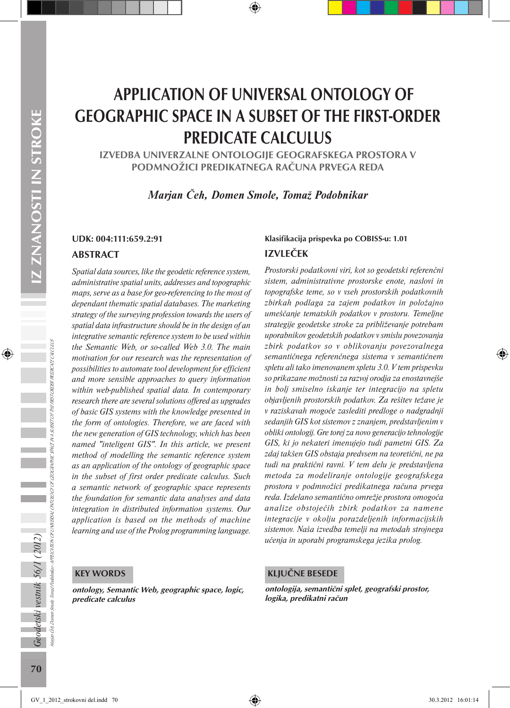# APPLICATION OF UNIVERSAL ONTOLOGY OF GEOGRAPHIC SPACE IN A SUBSET OF THE FIRST-ORDER PREDICATE CALCULUS

IZVEDBA UNIVERZALNE ONTOLOGIJE GEOGRAFSKEGA PROSTORA V PODMNOŽICI PREDIKATNEGA RAČUNA PRVEGA REDA

*Marjan Čeh, Domen Smole, Tomaž Podobnikar* 

#### ABSTRACT

*Spatial data sources, like the geodetic reference system, administrative spatial units, addresses and topographic maps, serve as a base for geo-referencing to the most of dependant thematic spatial databases. The marketing strategy of the surveying profession towards the users of spatial data infrastructure should be in the design of an integrative semantic reference system to be used within the Semantic Web, or so-called Web 3.0. The main motivation for our research was the representation of possibilities to automate tool development for efficient and more sensible approaches to query information within web-published spatial data. In contemporary research there are several solutions offered as upgrades of basic GIS systems with the knowledge presented in the form of ontologies. Therefore, we are faced with the new generation of GIS technology, which has been named "inteligent GIS". In this article, we present method of modelling the semantic reference system as an application of the ontology of geographic space in the subset of first order predicate calculus. Such a semantic network of geographic space represents the foundation for semantic data analyses and data integration in distributed information systems. Our application is based on the methods of machine learning and use of the Prolog programming language.*

#### KEY WORDS

ontology, Semantic Web, geographic space, logic, predicate calculus

#### UDK: 004:111:659.2:91 Klasifikacija prispevka po COBISS-u: 1.01 IZVLEČEK

*Prostorski podatkovni viri, kot so geodetski referenčni sistem, administrativne prostorske enote, naslovi in topografske teme, so v vseh prostorskih podatkovnih zbirkah podlaga za zajem podatkov in položajno umeščanje tematskih podatkov v prostoru. Temeljne strategije geodetske stroke za približevanje potrebam uporabnikov geodetskih podatkov v smislu povezovanja zbirk podatkov so v oblikovanju povezovalnega semantičnega referenčnega sistema v semantičnem spletu ali tako imenovanem spletu 3.0. V tem prispevku so prikazane možnosti za razvoj orodja za enostavnejše in bolj smiselno iskanje ter integracijo na spletu objavljenih prostorskih podatkov. Za rešitev težave je v raziskavah mogoče zaslediti predloge o nadgradnji sedanjih GIS kot sistemov z znanjem, predstavljenim v obliki ontologij. Gre torej za novo generacijo tehnologije GIS, ki jo nekateri imenujejo tudi pametni GIS. Za zdaj takšen GIS obstaja predvsem na teoretični, ne pa tudi na praktični ravni. V tem delu je predstavljena metoda za modeliranje ontologije geografskega prostora v podmnožici predikatnega računa prvega reda. Izdelano semantično omrežje prostora omogoča analize obstoječih zbirk podatkov za namene integracije v okolju porazdeljenih informacijskih sistemov. Naša izvedba temelji na metodah strojnega učenja in uporabi programskega jezika prolog.*

#### KLJUČNE BESEDE

ontologija, semantični splet, geografski prostor, logika, predikatni račun

Geodetski vestnik 56/1 (2012)

Marjan Čeh, Domen Smole, Tomaž Podobnikar - APPLICATION OF UNIVERSAL ONTOLOGY OF GEOGRAPHIC SPACE IN A SUBSET OF THE FIRST-ORDER PREDICATE CALCULUS

A PPLICATION OF UNIVERSAL ONTOLOGY OF GEOGRAPHIC SPACE IN A SUBSET OF THE FIRST-ORDER PREDICATE CALCULUS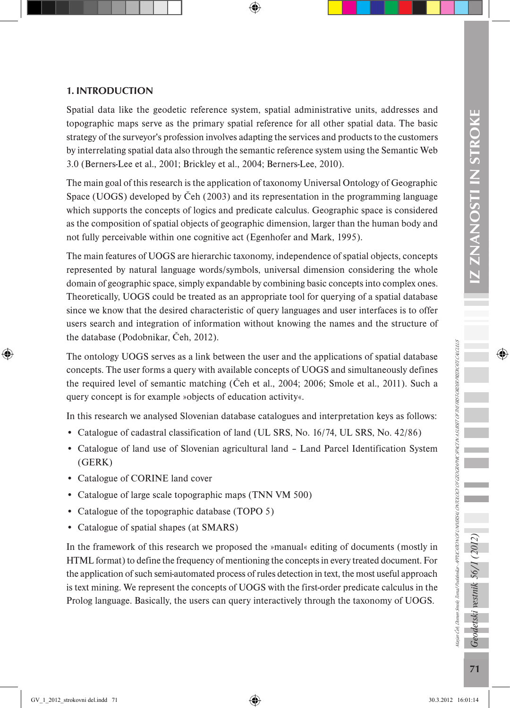#### 1. INTRODUCTION

Spatial data like the geodetic reference system, spatial administrative units, addresses and topographic maps serve as the primary spatial reference for all other spatial data. The basic strategy of the surveyor's profession involves adapting the services and products to the customers by interrelating spatial data also through the semantic reference system using the Semantic Web 3.0 (Berners-Lee et al., 2001; Brickley et al., 2004; Berners-Lee, 2010).

The main goal of this research is the application of taxonomy Universal Ontology of Geographic Space (UOGS) developed by Čeh (2003) and its representation in the programming language which supports the concepts of logics and predicate calculus. Geographic space is considered as the composition of spatial objects of geographic dimension, larger than the human body and not fully perceivable within one cognitive act (Egenhofer and Mark, 1995).

The main features of UOGS are hierarchic taxonomy, independence of spatial objects, concepts represented by natural language words/symbols, universal dimension considering the whole domain of geographic space, simply expandable by combining basic concepts into complex ones. Theoretically, UOGS could be treated as an appropriate tool for querying of a spatial database since we know that the desired characteristic of query languages and user interfaces is to offer users search and integration of information without knowing the names and the structure of the database (Podobnikar, Čeh, 2012).

The ontology UOGS serves as a link between the user and the applications of spatial database concepts. The user forms a query with available concepts of UOGS and simultaneously defines the required level of semantic matching (Čeh et al., 2004; 2006; Smole et al., 2011). Such a query concept is for example »objects of education activity«.

In this research we analysed Slovenian database catalogues and interpretation keys as follows:

- Catalogue of cadastral classification of land (UL SRS, No. 16/74, UL SRS, No. 42/86)
- Catalogue of land use of Slovenian agricultural land Land Parcel Identification System (GERK)
- Catalogue of CORINE land cover
- Catalogue of large scale topographic maps (TNN VM 500)
- Catalogue of the topographic database (TOPO 5)
- Catalogue of spatial shapes (at SMARS)

In the framework of this research we proposed the »manual« editing of documents (mostly in HTML format) to define the frequency of mentioning the concepts in every treated document. For the application of such semi-automated process of rules detection in text, the most useful approach is text mining. We represent the concepts of UOGS with the first-order predicate calculus in the Prolog language. Basically, the users can query interactively through the taxonomy of UOGS.

Geodetski vestnik 56/1 (2012)

Marjan Čeh, Domen Smole, Tomaž Podobnikar - APPLICATION OF UNIVERSAL ONTOLOGY OF GEOGRAPHIC SPACE IN A SUBSET OF THE FIRST-ORDER PREDICATE CALCULUS

lagan Cea Damen Smole, Tomaž Podobnikar APPUCATION OF UNUBESH, ONTOLOGY OF GEOGRAPHIC SPACE IN A HOST OP THE FROT OPDBR PREDICTION US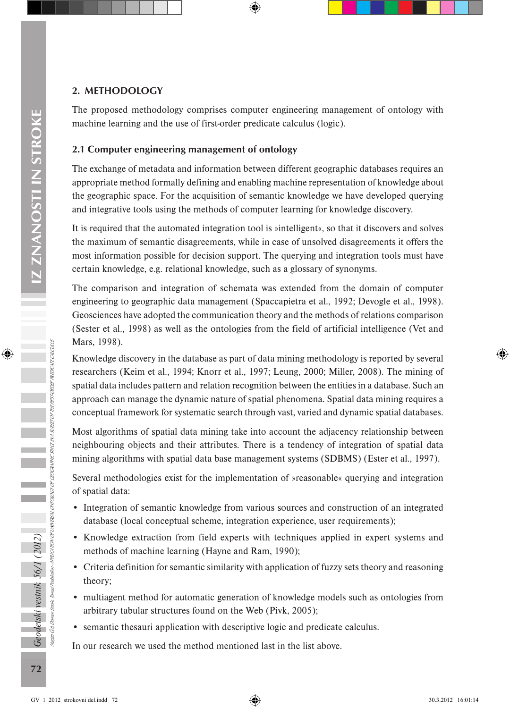#### 2. METHODOLOGY

The proposed methodology comprises computer engineering management of ontology with machine learning and the use of first-order predicate calculus (logic).

#### 2.1 Computer engineering management of ontology

The exchange of metadata and information between different geographic databases requires an appropriate method formally defining and enabling machine representation of knowledge about the geographic space. For the acquisition of semantic knowledge we have developed querying and integrative tools using the methods of computer learning for knowledge discovery.

It is required that the automated integration tool is »intelligent«, so that it discovers and solves the maximum of semantic disagreements, while in case of unsolved disagreements it offers the most information possible for decision support. The querying and integration tools must have certain knowledge, e.g. relational knowledge, such as a glossary of synonyms.

The comparison and integration of schemata was extended from the domain of computer engineering to geographic data management (Spaccapietra et al., 1992; Devogle et al., 1998). Geosciences have adopted the communication theory and the methods of relations comparison (Sester et al., 1998) as well as the ontologies from the field of artificial intelligence (Vet and Mars, 1998).

Knowledge discovery in the database as part of data mining methodology is reported by several researchers (Keim et al., 1994; Knorr et al., 1997; Leung, 2000; Miller, 2008). The mining of spatial data includes pattern and relation recognition between the entities in a database. Such an approach can manage the dynamic nature of spatial phenomena. Spatial data mining requires a conceptual framework for systematic search through vast, varied and dynamic spatial databases.

Most algorithms of spatial data mining take into account the adjacency relationship between neighbouring objects and their attributes. There is a tendency of integration of spatial data mining algorithms with spatial data base management systems (SDBMS) (Ester et al., 1997).

Several methodologies exist for the implementation of »reasonable« querying and integration of spatial data:

- Integration of semantic knowledge from various sources and construction of an integrated database (local conceptual scheme, integration experience, user requirements);
- Knowledge extraction from field experts with techniques applied in expert systems and methods of machine learning (Hayne and Ram, 1990);
- Criteria definition for semantic similarity with application of fuzzy sets theory and reasoning theory;
- multiagent method for automatic generation of knowledge models such as ontologies from arbitrary tabular structures found on the Web (Pivk, 2005);
- semantic thesauri application with descriptive logic and predicate calculus.

In our research we used the method mentioned last in the list above.

Marjan Čeh, Domen Smole, Tomaž Podobnikar -

Geodetski vestnik 56/1 (2012)

APPLICATION OF UNIVERSAL ONTOLOGY OF GEOGRAPHIC SPACE IN A SUBSET OF THE FIRST-ORDER PREDICATE CALCULUS

APPLICATION OF UNIVERSAL ONTOLOGY OF GEOGRAPHIC SPACE IN A SUBSET OF THE FIRST-ORDER PREDICATE CALCULUS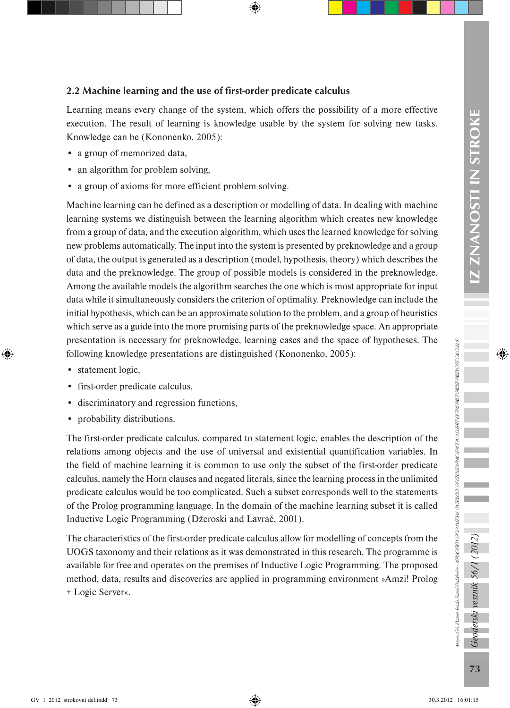## 2.2 Machine learning and the use of first-order predicate calculus Learning means every change of the system, which offers the possibility of a more effective execution. The result of learning is knowledge usable by the system for solving new tasks.

- a group of memorized data,
- an algorithm for problem solving,

Knowledge can be (Kononenko, 2005):

a group of axioms for more efficient problem solving.

Machine learning can be defined as a description or modelling of data. In dealing with machine learning systems we distinguish between the learning algorithm which creates new knowledge from a group of data, and the execution algorithm, which uses the learned knowledge for solving new problems automatically. The input into the system is presented by preknowledge and a group of data, the output is generated as a description (model, hypothesis, theory) which describes the data and the preknowledge. The group of possible models is considered in the preknowledge. Among the available models the algorithm searches the one which is most appropriate for input data while it simultaneously considers the criterion of optimality. Preknowledge can include the initial hypothesis, which can be an approximate solution to the problem, and a group of heuristics which serve as a guide into the more promising parts of the preknowledge space. An appropriate presentation is necessary for preknowledge, learning cases and the space of hypotheses. The following knowledge presentations are distinguished (Kononenko, 2005):

- statement logic,
- first-order predicate calculus,
- discriminatory and regression functions,
- probability distributions.

The first-order predicate calculus, compared to statement logic, enables the description of the relations among objects and the use of universal and existential quantification variables. In the field of machine learning it is common to use only the subset of the first-order predicate calculus, namely the Horn clauses and negated literals, since the learning process in the unlimited predicate calculus would be too complicated. Such a subset corresponds well to the statements of the Prolog programming language. In the domain of the machine learning subset it is called Inductive Logic Programming (Džeroski and Lavrač, 2001).

The characteristics of the first-order predicate calculus allow for modelling of concepts from the UOGS taxonomy and their relations as it was demonstrated in this research. The programme is available for free and operates on the premises of Inductive Logic Programming. The proposed method, data, results and discoveries are applied in programming environment »Amzi! Prolog + Logic Server«.

Geodetski vestnik 56/1 (2012)

Marjan Čeh, Domen Smole, Tomaž Podobnikar - APPLICATION OF UNIVERSAL ONTOLOGY OF GEOGRAPHIC SPACE IN A SUBSET OF THE FIRST-ORDER PREDICATE CALCULUS

lagan Cea Damen Smole, Tomaž Podobnikar APPUCATION OF UNUBESH, ONTOLOGY OF GEOGRAPHIC SPACE IN A HOST OP THE FROT OPDBR PREDICTION US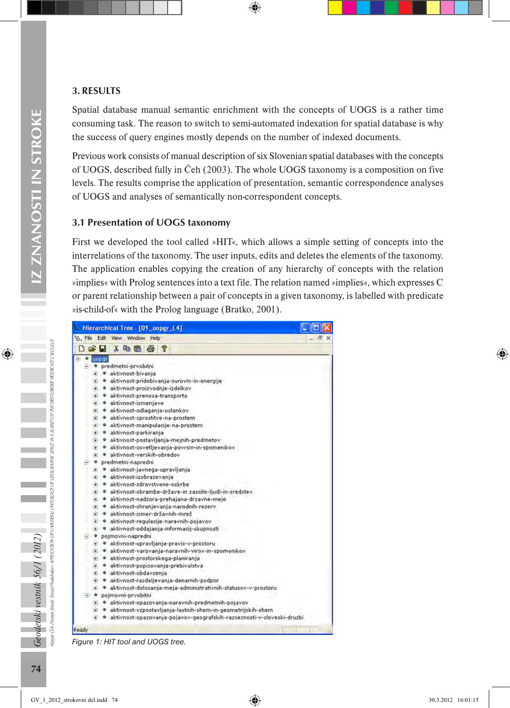### 3. RESULTS

Spatial database manual semantic enrichment with the concepts of UOGS is a rather time consuming task. The reason to switch to semi-automated indexation for spatial database is why the success of query engines mostly depends on the number of indexed documents.

Previous work consists of manual description of six Slovenian spatial databases with the concepts of UOGS, described fully in Čeh (2003). The whole UOGS taxonomy is a composition on five levels. The results comprise the application of presentation, semantic correspondence analyses of UOGS and analyses of semantically non-correspondent concepts.

#### 3.1 Presentation of UOGS taxonomy

First we developed the tool called »HIT«, which allows a simple setting of concepts into the interrelations of the taxonomy. The user inputs, edits and deletes the elements of the taxonomy. The application enables copying the creation of any hierarchy of concepts with the relation »implies« with Prolog sentences into a text file. The relation named »implies«, which expresses C or parent relationship between a pair of concepts in a given taxonomy, is labelled with predicate »is-child-of« with the Prolog language (Bratko, 2001).



*Figure 1: HIT tool and UOGS tree.*

mole

Marjan Čeh, Domen Smole, Tomaž Podobnikar - APPLICATION OF UNIVERSAL ONTOLOGY OF GEOGRAPHIC SPACE IN A SUBSET OF THE FIRST-ORDER PREDICATE CALCULUS

APPLICATION OF UNIVERSAL ONTOLOGY OF GEOGRAPHIC

SPACE IN A SUBSET OF THE FIRST-ORDER PREDICATE CAUCULUS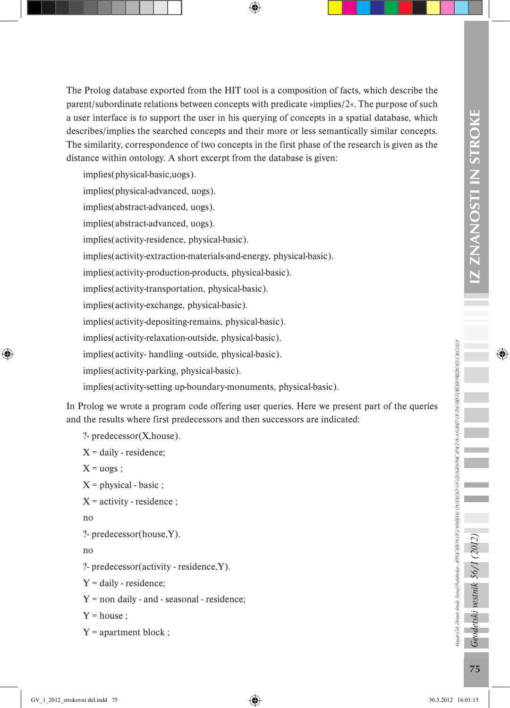The Prolog database exported from the HIT tool is a composition of facts, which describe the parent/subordinate relations between concepts with predicate »implies/2«. The purpose of such a user interface is to support the user in his querying of concepts in a spatial database, which describes/implies the searched concepts and their more or less semantically similar concepts. The similarity, correspondence of two concepts in the first phase of the research is given as the distance within ontology. A short excerpt from the database is given:

implies(physical-basic,uogs). implies(physical-advanced, uogs). implies(abstract-advanced, uogs). implies(abstract-advanced, uogs). implies(activity-residence, physical-basic). implies(activity-extraction-materials-and-energy, physical-basic). implies(activity-production-products, physical-basic). implies(activity-transportation, physical-basic). implies(activity-exchange, physical-basic). implies(activity-depositing-remains, physical-basic). implies(activity-relaxation-outside, physical-basic). implies(activity- handling -outside, physical-basic). implies(activity-parking, physical-basic). implies(activity-setting up-boundary-monuments, physical-basic).

In Prolog we wrote a program code offering user queries. Here we present part of the queries and the results where first predecessors and then successors are indicated:

```
?- predecessor(X,house).
```

```
X = \text{daily} - \text{residence};
```

```
X = uogs:
```

```
X = physical - basic ;
```

```
X = activity - residence ;
```

```
no
```

```
?- predecessor(house,Y).
```

```
no
```

```
?- predecessor(activity - residence,Y).
```
 $Y = \text{dailv} - \text{residence}$ ;

 $Y =$  non daily - and - seasonal - residence;

 $Y = house$ ;

```
Y = apartment block ;
```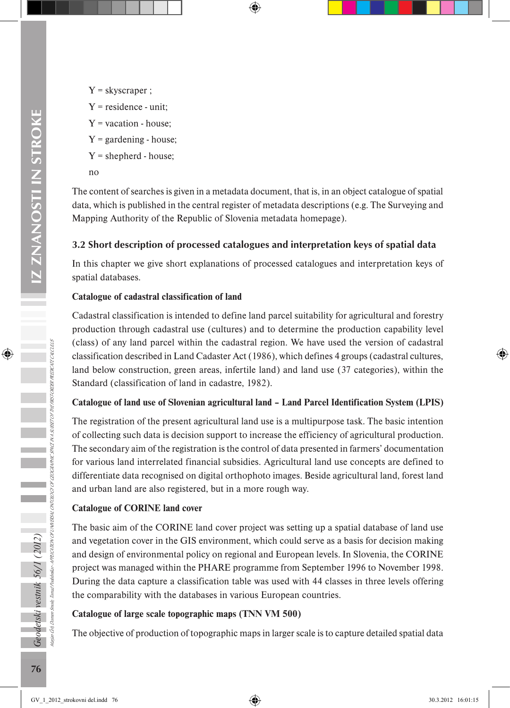- $Y =$ skyscraper ;
- $Y$  = residence unit:
- $Y =$  vacation house;
- $Y =$  gardening house;
- $Y =$  shepherd house;
- no

The content of searches is given in a metadata document, that is, in an object catalogue of spatial data, which is published in the central register of metadata descriptions (e.g. The Surveying and Mapping Authority of the Republic of Slovenia metadata homepage).

#### 3.2 Short description of processed catalogues and interpretation keys of spatial data

In this chapter we give short explanations of processed catalogues and interpretation keys of spatial databases.

#### **Catalogue of cadastral classification of land**

Cadastral classification is intended to define land parcel suitability for agricultural and forestry production through cadastral use (cultures) and to determine the production capability level (class) of any land parcel within the cadastral region. We have used the version of cadastral classification described in Land Cadaster Act (1986), which defines 4 groups (cadastral cultures, land below construction, green areas, infertile land) and land use (37 categories), within the Standard (classification of land in cadastre, 1982).

#### **Catalogue of land use of Slovenian agricultural land – Land Parcel Identification System (LPIS)**

The registration of the present agricultural land use is a multipurpose task. The basic intention of collecting such data is decision support to increase the efficiency of agricultural production. The secondary aim of the registration is the control of data presented in farmers' documentation for various land interrelated financial subsidies. Agricultural land use concepts are defined to differentiate data recognised on digital orthophoto images. Beside agricultural land, forest land and urban land are also registered, but in a more rough way.

#### **Catalogue of CORINE land cover**

The basic aim of the CORINE land cover project was setting up a spatial database of land use and vegetation cover in the GIS environment, which could serve as a basis for decision making and design of environmental policy on regional and European levels. In Slovenia, the CORINE project was managed within the PHARE programme from September 1996 to November 1998. During the data capture a classification table was used with 44 classes in three levels offering the comparability with the databases in various European countries.

#### **Catalogue of large scale topographic maps (TNN VM 500)**

The objective of production of topographic maps in larger scale is to capture detailed spatial data

Geodetski vestnik 56/1 (2012)

Marjan Čeh, Domen Smole, Tomaž Podobnikar - APPLICATION OF UNIVERSAL ONTOLOGY OF GEOGRAPHIC SPACE IN A SUBSET OF THE FIRST-ORDER PREDICATE CALCULUS

APPLICATION OF UNIVERSAL ONTOLOGY OF GEOGRAPHIC SPACE IN A SUBSET OF THE FIRST-ORDER PREDICATE CALCULUS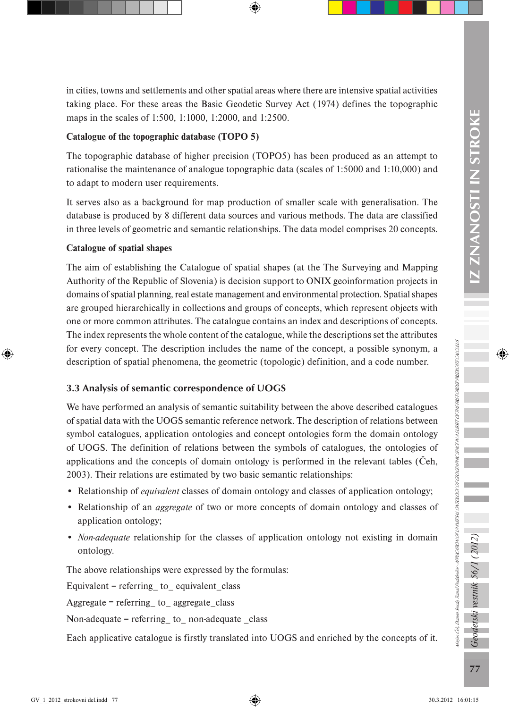in cities, towns and settlements and other spatial areas where there are intensive spatial activities taking place. For these areas the Basic Geodetic Survey Act (1974) defines the topographic maps in the scales of 1:500, 1:1000, 1:2000, and 1:2500.

#### **Catalogue of the topographic database (TOPO 5)**

The topographic database of higher precision (TOPO5) has been produced as an attempt to rationalise the maintenance of analogue topographic data (scales of 1:5000 and 1:10,000) and to adapt to modern user requirements.

It serves also as a background for map production of smaller scale with generalisation. The database is produced by 8 different data sources and various methods. The data are classified in three levels of geometric and semantic relationships. The data model comprises 20 concepts.

#### **Catalogue of spatial shapes**

The aim of establishing the Catalogue of spatial shapes (at the The Surveying and Mapping Authority of the Republic of Slovenia) is decision support to ONIX geoinformation projects in domains of spatial planning, real estate management and environmental protection. Spatial shapes are grouped hierarchically in collections and groups of concepts, which represent objects with one or more common attributes. The catalogue contains an index and descriptions of concepts. The index represents the whole content of the catalogue, while the descriptions set the attributes for every concept. The description includes the name of the concept, a possible synonym, a description of spatial phenomena, the geometric (topologic) definition, and a code number.

#### 3.3 Analysis of semantic correspondence of UOGS

We have performed an analysis of semantic suitability between the above described catalogues of spatial data with the UOGS semantic reference network. The description of relations between symbol catalogues, application ontologies and concept ontologies form the domain ontology of UOGS. The definition of relations between the symbols of catalogues, the ontologies of applications and the concepts of domain ontology is performed in the relevant tables (Čeh, 2003). Their relations are estimated by two basic semantic relationships:

- Relationship of *equivalent* classes of domain ontology and classes of application ontology;
- Relationship of an *aggregate* of two or more concepts of domain ontology and classes of application ontology;
- *Non-adequate* relationship for the classes of application ontology not existing in domain ontology.

The above relationships were expressed by the formulas:

Equivalent = referring to equivalent class

Aggregate = referring\_ to\_ aggregate\_class

Non-adequate = referring to non-adequate class

Each applicative catalogue is firstly translated into UOGS and enriched by the concepts of it.

Marjan Čeh, Domen Smole, Tomaž Podobnikar - APPLICATION OF UNIVERSAL ONTOLOGY OF GEOGRAPHIC SPACE IN A SUBSET OF THE FIRST-ORDER PREDICATE CALCULUS

tarjan Ceti Domen Smole, Tomaž Podobnikar - APRICATION OF UNITIESN, ONTOLOGY OF GEOGRAPHIC SPACEN NA SUBSET OF THE FROF CREDIT PREDICTIVE CNUS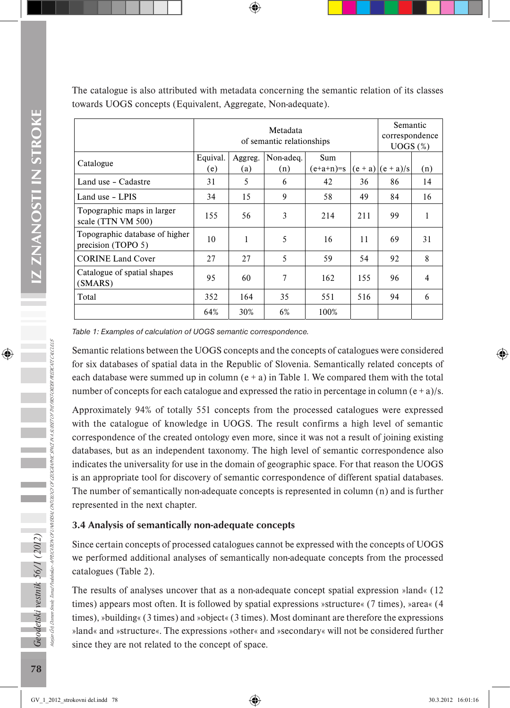The catalogue is also attributed with metadata concerning the semantic relation of its classes towards UOGS concepts (Equivalent, Aggregate, Non-adequate).

|                                                      |                 | Semantic<br>correspondence<br>$UOGS$ $(\%)$ |                  |                           |           |             |     |
|------------------------------------------------------|-----------------|---------------------------------------------|------------------|---------------------------|-----------|-------------|-----|
| Catalogue                                            | Equival.<br>(e) | Aggreg.<br>(a)                              | Non-adeq.<br>(n) | <b>Sum</b><br>$(e+a+n)=s$ | $(e + a)$ | $(e + a)/s$ | (n) |
| Land use - Cadastre                                  | 31              | 5                                           | 6                | 42                        | 36        | 86          | 14  |
| Land use - LPIS                                      | 34              | 15                                          | 9                | 58                        | 49        | 84          | 16  |
| Topographic maps in larger<br>scale (TTN VM 500)     | 155             | 56                                          | 3                | 214                       | 211       | 99          |     |
| Topographic database of higher<br>precision (TOPO 5) | 10              | 1                                           | 5                | 16                        | 11        | 69          | 31  |
| <b>CORINE Land Cover</b>                             | 27              | 27                                          | 5                | 59                        | 54        | 92          | 8   |
| Catalogue of spatial shapes<br>(SMARS)               | 95              | 60                                          | 7                | 162                       | 155       | 96          | 4   |
| Total                                                | 352             | 164                                         | 35               | 551                       | 516       | 94          | 6   |
|                                                      | 64%             | 30%                                         | 6%               | 100%                      |           |             |     |

*Table 1: Examples of calculation of UOGS semantic correspondence.*

Semantic relations between the UOGS concepts and the concepts of catalogues were considered for six databases of spatial data in the Republic of Slovenia. Semantically related concepts of each database were summed up in column  $(e + a)$  in Table 1. We compared them with the total number of concepts for each catalogue and expressed the ratio in percentage in column ( $e + a$ )/s.

Approximately 94% of totally 551 concepts from the processed catalogues were expressed with the catalogue of knowledge in UOGS. The result confirms a high level of semantic correspondence of the created ontology even more, since it was not a result of joining existing databases, but as an independent taxonomy. The high level of semantic correspondence also indicates the universality for use in the domain of geographic space. For that reason the UOGS is an appropriate tool for discovery of semantic correspondence of different spatial databases. The number of semantically non-adequate concepts is represented in column (n) and is further represented in the next chapter.

#### 3.4 Analysis of semantically non-adequate concepts

Since certain concepts of processed catalogues cannot be expressed with the concepts of UOGS we performed additional analyses of semantically non-adequate concepts from the processed catalogues (Table 2).

The results of analyses uncover that as a non-adequate concept spatial expression »land« (12 times) appears most often. It is followed by spatial expressions »structure« (7 times), »area« (4 times), »building« (3 times) and »object« (3 times). Most dominant are therefore the expressions »land« and »structure«. The expressions »other« and »secondary« will not be considered further since they are not related to the concept of space.

APPLICATION OF UNIVERSAL ONTOLOGY OF GEOGRAPHIC SPACE IN A SUBSET OF THE FIRST-ORDER PREDICATE CALCULUS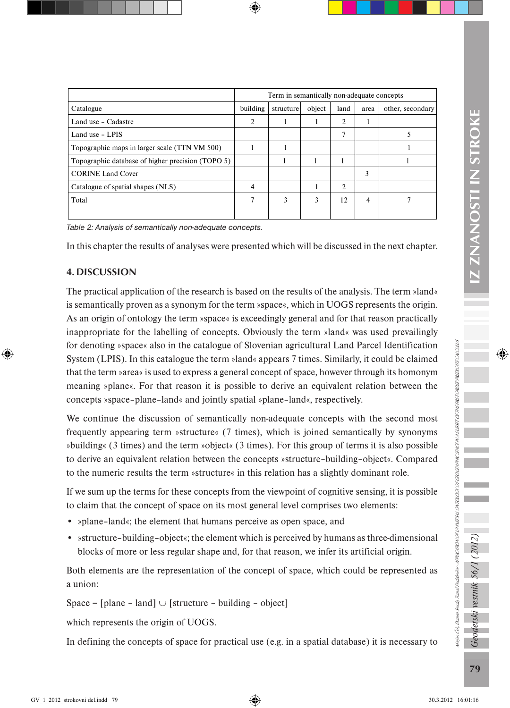|                                                   | Term in semantically non-adequate concepts |           |        |                |      |                  |  |
|---------------------------------------------------|--------------------------------------------|-----------|--------|----------------|------|------------------|--|
| Catalogue                                         | building                                   | structure | object | land           | area | other, secondary |  |
| Land use - Cadastre                               | 2                                          |           |        | 2              |      |                  |  |
| Land use - LPIS                                   |                                            |           |        | $\mathcal{I}$  |      |                  |  |
| Topographic maps in larger scale (TTN VM 500)     |                                            |           |        |                |      |                  |  |
| Topographic database of higher precision (TOPO 5) |                                            |           |        |                |      |                  |  |
| <b>CORINE Land Cover</b>                          |                                            |           |        |                | 3    |                  |  |
| Catalogue of spatial shapes (NLS)                 | 4                                          |           |        | $\overline{2}$ |      |                  |  |
| Total                                             |                                            | 3         | 3      | 12             | 4    |                  |  |
|                                                   |                                            |           |        |                |      |                  |  |

*Table 2: Analysis of semantically non-adequate concepts.*

In this chapter the results of analyses were presented which will be discussed in the next chapter.

#### 4. DISCUSSION

The practical application of the research is based on the results of the analysis. The term »land« is semantically proven as a synonym for the term »space«, which in UOGS represents the origin. As an origin of ontology the term »space« is exceedingly general and for that reason practically inappropriate for the labelling of concepts. Obviously the term »land« was used prevailingly for denoting »space« also in the catalogue of Slovenian agricultural Land Parcel Identification System (LPIS). In this catalogue the term »land« appears 7 times. Similarly, it could be claimed that the term »area« is used to express a general concept of space, however through its homonym meaning »plane«. For that reason it is possible to derive an equivalent relation between the concepts »space–plane–land« and jointly spatial »plane–land«, respectively.

We continue the discussion of semantically non-adequate concepts with the second most frequently appearing term »structure« (7 times), which is joined semantically by synonyms »building« (3 times) and the term »object« (3 times). For this group of terms it is also possible to derive an equivalent relation between the concepts »structure–building–object«. Compared to the numeric results the term »structure« in this relation has a slightly dominant role.

If we sum up the terms for these concepts from the viewpoint of cognitive sensing, it is possible to claim that the concept of space on its most general level comprises two elements:

- »plane–land«; the element that humans perceive as open space, and
- »structure–building–object«; the element which is perceived by humans as three-dimensional blocks of more or less regular shape and, for that reason, we infer its artificial origin.

Both elements are the representation of the concept of space, which could be represented as a union:

Space =  $[plane - land]$  ∪  $[structure - building - object]$ 

which represents the origin of UOGS.

In defining the concepts of space for practical use (e.g. in a spatial database) it is necessary to

Marjan Čeh, Domen Smole, Tomaž Podobnikar - APPLICATION OF UNIVERSAL ONTOLOGY OF GEOGRAPHIC SPACE IN A SUBSET OF THE FIRST-ORDER PREDICATE CALCULUS

lagan Cea Damen Smole, Tomaž Podobnikar APPUCATION OF UNUBESH, ONTOLOGY OF GEOGRAPHIC SPACE IN A HOST OP THE FROT OPDBR PREDICTION US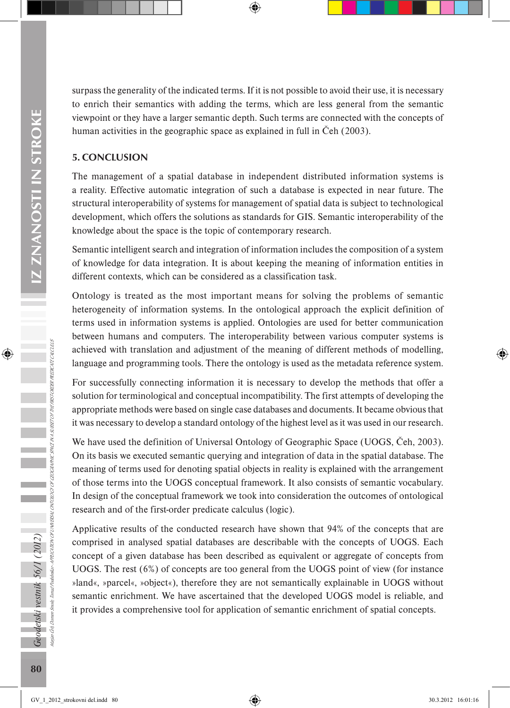surpass the generality of the indicated terms. If it is not possible to avoid their use, it is necessary to enrich their semantics with adding the terms, which are less general from the semantic viewpoint or they have a larger semantic depth. Such terms are connected with the concepts of human activities in the geographic space as explained in full in Čeh (2003).

#### 5. CONCLUSION

The management of a spatial database in independent distributed information systems is a reality. Effective automatic integration of such a database is expected in near future. The structural interoperability of systems for management of spatial data is subject to technological development, which offers the solutions as standards for GIS. Semantic interoperability of the knowledge about the space is the topic of contemporary research.

Semantic intelligent search and integration of information includes the composition of a system of knowledge for data integration. It is about keeping the meaning of information entities in different contexts, which can be considered as a classification task.

Ontology is treated as the most important means for solving the problems of semantic heterogeneity of information systems. In the ontological approach the explicit definition of terms used in information systems is applied. Ontologies are used for better communication between humans and computers. The interoperability between various computer systems is achieved with translation and adjustment of the meaning of different methods of modelling, language and programming tools. There the ontology is used as the metadata reference system.

For successfully connecting information it is necessary to develop the methods that offer a solution for terminological and conceptual incompatibility. The first attempts of developing the appropriate methods were based on single case databases and documents. It became obvious that it was necessary to develop a standard ontology of the highest level as it was used in our research.

We have used the definition of Universal Ontology of Geographic Space (UOGS, Čeh, 2003). On its basis we executed semantic querying and integration of data in the spatial database. The meaning of terms used for denoting spatial objects in reality is explained with the arrangement of those terms into the UOGS conceptual framework. It also consists of semantic vocabulary. In design of the conceptual framework we took into consideration the outcomes of ontological research and of the first-order predicate calculus (logic).

Applicative results of the conducted research have shown that 94% of the concepts that are comprised in analysed spatial databases are describable with the concepts of UOGS. Each concept of a given database has been described as equivalent or aggregate of concepts from UOGS. The rest (6%) of concepts are too general from the UOGS point of view (for instance »land«, »parcel«, »object«), therefore they are not semantically explainable in UOGS without semantic enrichment. We have ascertained that the developed UOGS model is reliable, and it provides a comprehensive tool for application of semantic enrichment of spatial concepts.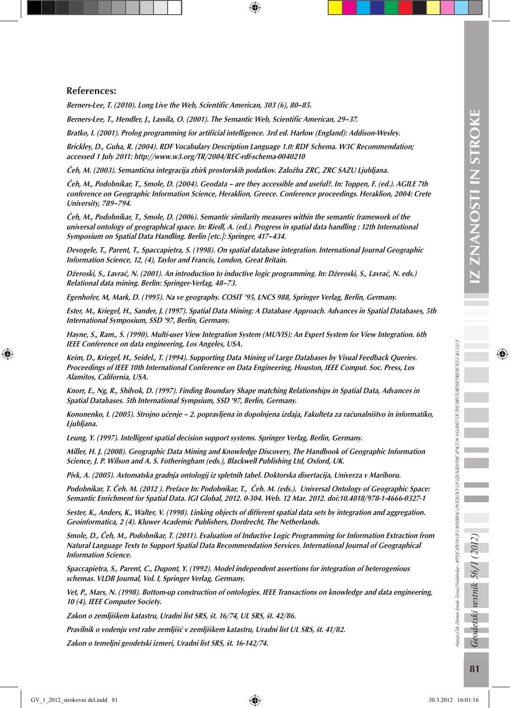#### References:

Berners-Lee, T. (2010). Long Live the Web, Scientific American, 303 (6), 80–85.

Berners-Lee, T., Hendler, J., Lassila, O. (2001). The Semantic Web, Scientific American, 29–37.

Bratko, I. (2001). Prolog programming for artificial intelligence. 3rd ed. Harlow (England): Addison-Wesley.

Brickley, D., Guha, R. (2004). RDF Vocabulary Description Language 1.0: RDF Schema. W3C Recommendation; accessed 1 July 2011: http://www.w3.org/TR/2004/REC-rdf-schema-0040210

Čeh, M. (2003). Semantična integracija zbirk prostorskih podatkov. Založba ZRC, ZRC SAZU Ljubljana.

Čeh, M., Podobnikar, T., Smole, D. (2004). Geodata – are they accessible and useful?. In: Toppen, F. (ed.). AGILE 7th conference on Geographic Information Science, Heraklion, Greece. Conference proceedings. Heraklion, 2004: Crete University, 789–794.

Čeh, M., Podobnikar, T., Smole, D. (2006). Semantic similarity measures within the semantic framework of the universal ontology of geographical space. In: Riedl, A. (ed.). Progress in spatial data handling : 12th International Symposium on Spatial Data Handling. Berlin [etc.]: Springer, 417–434.

Devogele, T., Parent, T., Spaccapietra, S. (1998). On spatial database integration. International Journal Geographic Information Science, 12, (4), Taylor and Francis, London, Great Britain.

Džeroski, S., Lavrač, N. (2001). An introduction to inductive logic programming. In: Džeroski, S., Lavrač, N. eds.) Relational data mining. Berlin: Springer-Verlag, 48–73.

Egenhofer, M, Mark, D. (1995). Na ve geography. COSIT '95, LNCS 988, Springer Verlag, Berlin, Germany.

Ester, M., Kriegel, H., Sander, J. (1997). Spatial Data Mining: A Database Approach. Advances in Spatial Databases, 5th International Symposium, SSD '97, Berlin, Germany.

Hayne, S., Ram., S. (1990). Multi-user View Integration System (MUVIS): An Expert System for View Integration. 6th IEEE Conference on data engineering, Los Angeles, USA.

Keim, D., Kriegel, H., Seidel., T. (1994). Supporting Data Mining of Large Databases by Visual Feedback Queries. Proceedings of IEEE 10th International Conference on Data Engineering, Houston, IEEE Comput. Soc. Press, Los Alamitos, California, USA.

Knorr, E., Ng, R., Shilvok, D. (1997). Finding Boundary Shape matching Relationships in Spatial Data, Advances in Spatial Databases. 5th International Sympsium, SSD '97, Berlin, Germany.

Kononenko, I. (2005). Strojno učenje – 2. popravljena in dopolnjena izdaja, Fakulteta za računalništvo in informatiko, Ljubljana.

Leung, Y. (1997). Intelligent spatial decision support systems. Springer Verlag, Berlin, Germany.

Miller, H. J. (2008). Geographic Data Mining and Knowledge Discovery, The Handbook of Geographic Information Science, J. P. Wilson and A. S. Fotheringham (eds.), Blackwell Publishing Ltd, Oxford, UK.

Pivk, A. (2005). Avtomatska gradnja ontologij iz spletnih tabel. Doktorska disertacija, Univerza v Mariboru.

Podobnikar, T. Čeh. M. (2012 ). Preface In: Podobnikar, T., Čeh. M. (eds.). Universal Ontology of Geographic Space: Semantic Enrichment for Spatial Data. IGI Global, 2012. 0-304. Web. 12 Mar. 2012. doi:10.4018/978-1-4666-0327-1

Sester, K., Anders, K., Walter, V. (1998). Linking objects of different spatial data sets by integration and aggregation. Geoinformatica, 2 (4). Kluwer Academic Publishers, Dordrecht, The Netherlands.

Smole, D., Čeh, M., Podobnikar, T. (2011). Evaluation of Inductive Logic Programming for Information Extraction from Natural Language Texts to Support Spatial Data Recommendation Services. International Journal of Geographical Information Science.

Spaccapietra, S., Parent, C., Dupont, Y. (1992). Model independent assertions for integration of heterogenious schemas. VLDB Journal, Vol. I, Springer Verlag, Germany.

Vet, P., Mars, N. (1998). Bottom-up construction of ontologies. IEEE Transactions on knowledge and data engineering, 10 (4), IEEE Computer Society.

Zakon o zemljiškem katastru, Uradni list SRS, št. 16/74, UL SRS, št. 42/86.

Pravilnik o vodenju vrst rabe zemljišč v zemljiškem katastru, Uradni list UL SRS, št. 41/82.

Zakon o temeljni geodetski izmeri, Uradni list SRS, št. 16-142/74.

Marjan Čeh, Domen Smole, Tomaž Podobnikar - APPLICATION OF UNIVERSAL ONTOLOGY OF GEOGRAPHIC SPACE IN A SUBSET OF THE FIRST-ORDER PREDICATE CALCULUS

hayan Cea Damen Smole, Tomaž Podobnika~ APRICATION OF UNITIESN, ONTOLOGY OF GEOGRAPHIC SPACENN 3 USSET OF THE FIRST OPDER PREDICTIUS